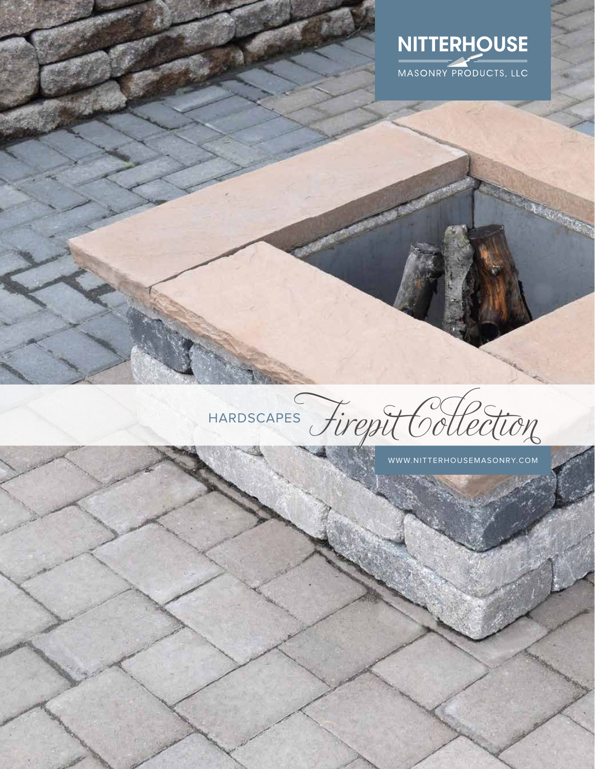



WWW.NITTERHOUSEMASONRY.COM